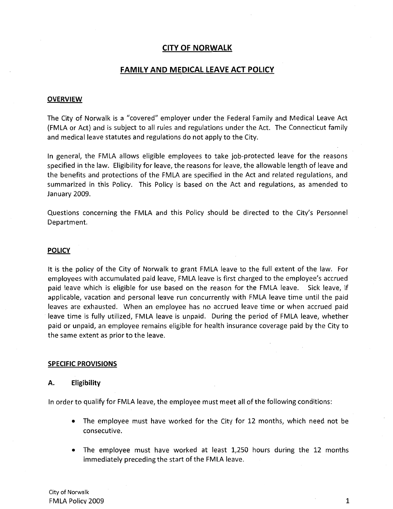# **CITY OF NORWALK**

# **FAMILY AND MEDICAL LEAVE ACT POLICY**

#### **OVERVIEW**

The City of Norwalk is a "covered" employer under the Federal Family and Medical Leave Act (FMLA or Act) and is subject to all rules and regulations under the Act. The Connecticut family and medical leave statutes and regulations do not apply to the City.

In general, the FMLA allows eligible employees to take job-protected leave for the reasons specified in the law. Eligibility for leave, the reasons for leave, the allowable length of leave and the benefits and protections of the FMLA are specified in the Act and related regulations, and summarized in this Policy. This Policy is based on the Act and regulations, as amended to January 2009.

Questions concerning the FMLA and this Policy should be directed to the City's Personnel Department.

#### **POLICY**

It is the policy of the City of Norwalk to grant FMLA leave to the full extent of the law. For employees with accumulated paid leave, FMLA leave is first charged to the employee's accrued paid leave which is eligible for use based on the reason for the FMLA leave. Sick leave, if applicable, vacation and personal leave run concurrently with FMLA leave time until the paid leaves are exhausted. When an employee has no accrued leave time or when accrued paid leave time is fully utilized, FMLA leave is unpaid. During the period of FMLA leave, whether paid or unpaid, an employee remains eligible for health insurance coverage paid by the City to the same extent as prior to the leave.

#### **SPECIFIC PROVISIONS**

#### **A. Eligibility**

In order to qualify for FMLA leave, the employee must meet all of the following conditions:

- The employee must have worked for the City for 12 months, which need not be consecutive.
- The employee must have worked at least 1,250 hours during the 12 months immediately preceding the start of the FMLA leave.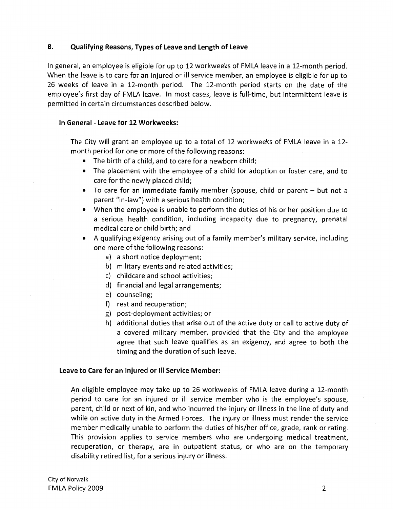# **B. Qualifying Reasons, Types of Leave and Length of Leave**

In general, an employee is eligible for up to 12 workweeks of FMLA leave in a 12-month period. When the leave is to care for an injured or ill service member, an employee is eligible for up to 26 weeks of leave in a 12-month period. The 12-month period starts on the date of the employee's first day of FMLA leave. In most cases, leave is full-time, but intermittent leave is permitted in certain circumstances described below.

## **In General - Leave for 12 Workweeks:**

The City will grant an employee up to a total of 12 workweeks of FMLA leave in a 12 month period for one or more of the following reasons:

- The birth of a child, and to care for a newborn child;
- The placement with the employee of a child for adoption or foster care, and to care for the newly placed child;
- To care for an immediate family member (spouse, child or parent but not a parent "in-law") with a serious health condition;
- When the employee is unable to perform the duties of his or her position due to a serious health condition, including incapacity due to pregnancy, prenatal medical care or child birth; and
- A qualifying exigency arising out of a family member's military service, including one more of the following reasons:
	- a) a short notice deployment;
	- b) military events and related activities;
	- c) childcare and school activities;
	- d) financial and legal arrangements;
	- e) counseling;
	- f) rest and recuperation;
	- g) post-deployment activities; or
	- h) additional duties that arise out of the active duty or call to active duty of a covered military member, provided that the City and the employee agree that such leave qualifies as an exigency, and agree to both the timing and the duration of such leave.

### **Leave to Care for an Injured or Ill Service Member:**

An eligible employee may take up to 26 workweeks of FMLA leave during a 12-month period to care for an injured or ill service member who is the employee's spouse, parent, child or next of kin, and who incurred the injury or illness in the line of duty and while on active duty in the Armed Forces. The injury or illness must render the service member medically unable to perform the duties of his/her office, grade, rank or rating. This provision applies to service members who are undergoing medical treatment, recuperation, or therapy, are in outpatient status, or who are on the temporary disability retired list, for a serious injury or illness.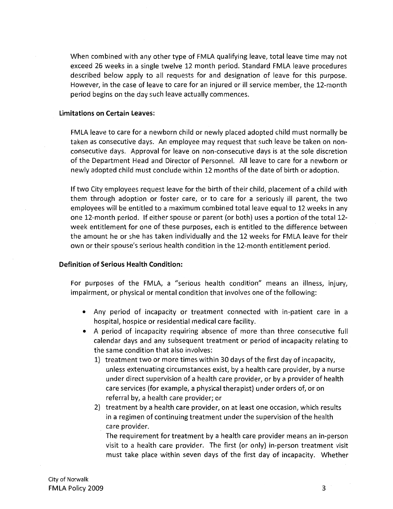When combined with any other type of FMLA qualifying leave, total leave time may not exceed 26 weeks in a single twelve 12 month period. Standard FMLA leave procedures described below apply to all requests for and designation of leave for this purpose. However, in the case of leave to care for an injured or ill service member, the 12-month period begins on the day such leave actually commences.

### **Limitations on Certain Leaves:**

FMLA leave to care for a newborn child or newly placed adopted child must normally be taken as consecutive days. An employee may request that such leave be taken on nonconsecutive days. Approval for leave on non-consecutive days is at the sole discretion of the Department Head and Director of Personnel. All leave to care for a newborn or newly adopted child must conclude within 12 months of the date of birth or adoption.

If two City employees request leave for the birth of their child, placement of a child with them through adoption or foster care, or to care for a seriously ill parent, the two employees will be entitled to a maximum combined total leave equal to 12 weeks in any one 12-month period. If either spouse or parent (or both) uses a portion of the total 12week entitlement for one of these purposes, each is entitled to the difference between the amount he or she has taken individually and the 12 weeks for FMLA leave for their own or their spouse's serious health condition in the 12-month entitlement period.

### **Definition of Serious Health Condition:**

For purposes of the FMLA, a "serious health condition" means an illness, injury, impairment, or physical or mental condition that involves one of the following:

- Any period of incapacity or treatment connected with in-patient care in a hospital, hospice or residential medical care facility.
- A period of incapacity requiring absence of more than three consecutive full calendar days and any subsequent treatment or period of incapacity relating to the same condition that also involves:
	- 1) treatment two or more times within 30 days of the first day of incapacity, unless extenuating circumstances exist, by a health care provider, by a nurse under direct supervision of a health care provider, or by a provider of health care services (for example, a physical therapist) under orders of, or on referral by, a health care provider; or
	- 2) treatment by a health care provider, on at least one occasion, which results in a regimen of continuing treatment under the supervision of the health care provider.

The requirement for treatment by a health care provider means an in-person visit to a health care provider. The first (or only) in-person treatment visit must take place within seven days of the first day of incapacity. Whether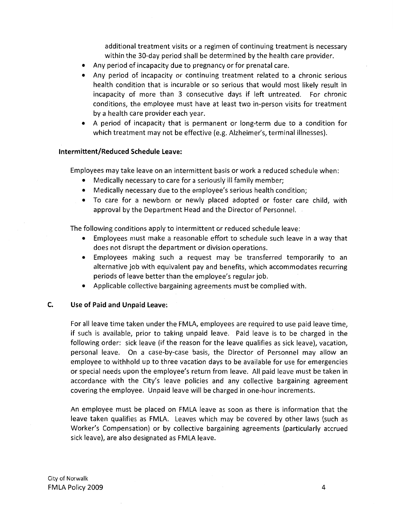additional treatment visits or a regimen of continuing treatment is necessary within the 30-day period shall be determined by the health care provider.

- Any period of incapacity due to pregnancy or for prenatal care.
- Any period of incapacity or continuing treatment related to a chronic serious health condition that is incurable or so serious that would most likely result in incapacity of more than 3 consecutive days if left untreated. For chronic conditions, the employee must have at least two in-person visits for treatment by a health care provider each year.
- A period of incapacity that is permanent or long-term due to a condition for which treatment may not be effective (e.g. Alzheimer's, terminal illnesses).

### **Intermittent/Reduced Schedule Leave:**

Employees may take leave on an intermittent basis or work a reduced schedule when:

- Medically necessary to care for a seriously ill family member;
- Medically necessary due to the employee's serious health condition;
- To care for a newborn or newly placed adopted or foster care child, with approval by the Department Head and the Director of Personnel.

The following conditions apply to intermittent or reduced schedule leave:

- Employees must make a reasonable effort to schedule such leave in a way that does not disrupt the department or division operations.
- Employees making such a request may be transferred temporarily to an alternative job with equivalent pay and benefits, which accommodates recurring periods of leave better than the employee's regular job.
- Applicable collective bargaining agreements must be complied with.

## **C. Use of Paid and Unpaid Leave:**

For all leave time taken under the FMLA, employees are required to use paid leave time, if such is available, prior to taking unpaid leave. Paid leave is to be charged in the following order: sick leave (if the reason for the leave qualifies as sick leave), vacation, personal leave. On a case-by-case basis, the Director of Personnel may allow an employee to withhold up to three vacation days to be available for use for emergencies or special needs upon the employee's return from leave. All paid leave must be taken in accordance with the City's leave policies and any collective bargaining agreement covering the employee. Unpaid leave will be charged in one-hour increments.

An employee must be placed on FMLA leave as soon as there is information that the leave taken qualifies as FMLA. Leaves which may be covered by other laws (such as Worker's Compensation) or by collective bargaining agreements (particularly accrued sick leave), are also designated as FMLA leave.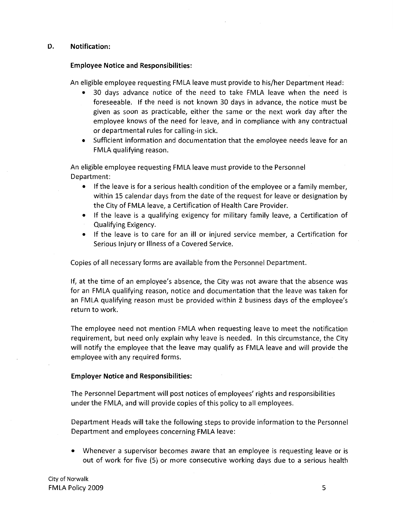# **D. Notification:**

## **Employee Notice and Responsibilities:**

An eligible employee requesting FMLA leave must provide to his/her Department Head:

- 30 days advance notice of the need to take FMLA leave when the need is foreseeable. If the need is not known 30 days in advance, the notice must be given as soon as practicable, either the same or the next work day after the employee knows of the need for leave, and in compliance with any contractual or departmental rules for calling-in sick.
- Sufficient information and documentation that the employee needs leave for an FMLA qualifying reason.

An eligible employee requesting FMLA leave must provide to the Personnel Department:

- If the leave is for a serious health condition of the employee or a family member, within 15 calendar days from the date of the request for leave or designation by the City of FMLA leave, a Certification of Health Care Provider.
- If the leave is a qualifying exigency for military family leave, a Certification of Qualifying Exigency.
- If the leave is to care for an ill or injured service member, a Certification for Serious Injury or Illness of a Covered Service.

Copies of all necessary forms are available from the Personnel Department.

If, at the time of an employee's absence, the City was not aware that the absence was for an FMLA qualifying reason, notice and documentation that the leave was taken for an FMLA qualifying reason must be provided within 2 business days of the employee's return to work.

The employee need not mention FMLA when requesting leave to meet the notification requirement, but need only explain why leave is needed. In this circumstance, the City will notify the employee that the leave may qualify as FMLA leave and will provide the employee with any required forms.

# **Employer Notice and Responsibilities:**

The Personnel Department will post notices of employees' rights and responsibilities under the FMLA, and will provide copies of this policy to all employees.

Department Heads will take the following steps to provide information to the Personnel Department and employees concerning FMLA leave:

• Whenever a supervisor becomes aware that an employee is requesting leave or is out of work for five (5) or more consecutive working days due to a serious health